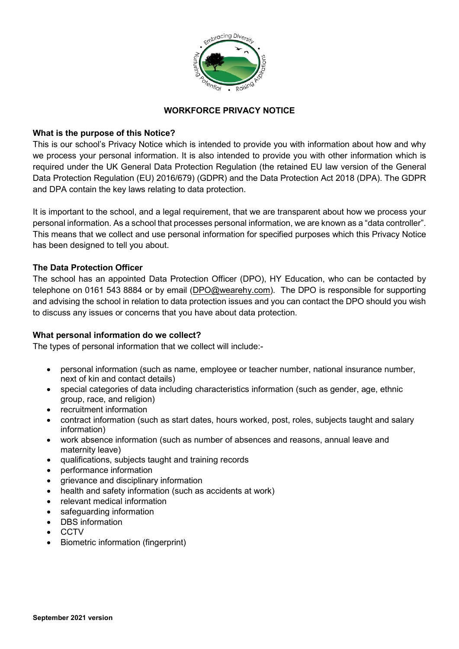

# **WORKFORCE PRIVACY NOTICE**

## **What is the purpose of this Notice?**

This is our school's Privacy Notice which is intended to provide you with information about how and why we process your personal information. It is also intended to provide you with other information which is required under the UK General Data Protection Regulation (the retained EU law version of the General Data Protection Regulation (EU) 2016/679) (GDPR) and the Data Protection Act 2018 (DPA). The GDPR and DPA contain the key laws relating to data protection.

It is important to the school, and a legal requirement, that we are transparent about how we process your personal information. As a school that processes personal information, we are known as a "data controller". This means that we collect and use personal information for specified purposes which this Privacy Notice has been designed to tell you about.

## **The Data Protection Officer**

The school has an appointed Data Protection Officer (DPO), HY Education, who can be contacted by telephone on 0161 543 8884 or by email [\(DPO@wearehy.com\)](mailto:DPO@wearehy.com). The DPO is responsible for supporting and advising the school in relation to data protection issues and you can contact the DPO should you wish to discuss any issues or concerns that you have about data protection.

# **What personal information do we collect?**

The types of personal information that we collect will include:-

- personal information (such as name, employee or teacher number, national insurance number, next of kin and contact details)
- special categories of data including characteristics information (such as gender, age, ethnic group, race, and religion)
- recruitment information
- contract information (such as start dates, hours worked, post, roles, subjects taught and salary information)
- work absence information (such as number of absences and reasons, annual leave and maternity leave)
- qualifications, subjects taught and training records
- performance information
- grievance and disciplinary information
- health and safety information (such as accidents at work)
- relevant medical information
- safeguarding information
- DBS information
- CCTV
- Biometric information (fingerprint)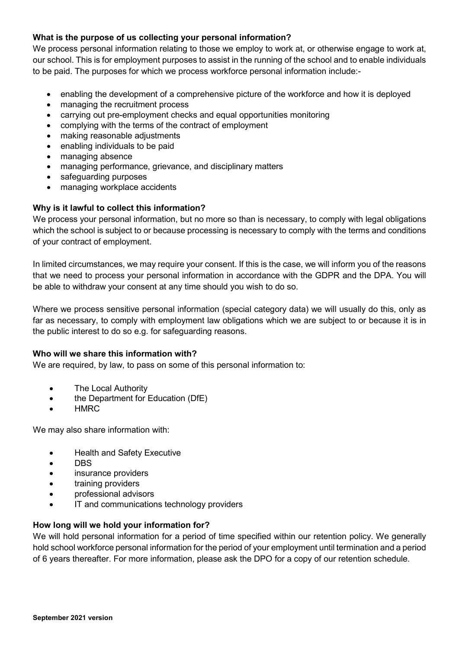# **What is the purpose of us collecting your personal information?**

We process personal information relating to those we employ to work at, or otherwise engage to work at, our school. This is for employment purposes to assist in the running of the school and to enable individuals to be paid. The purposes for which we process workforce personal information include:-

- enabling the development of a comprehensive picture of the workforce and how it is deployed
- managing the recruitment process
- carrying out pre-employment checks and equal opportunities monitoring
- complying with the terms of the contract of employment
- making reasonable adjustments
- enabling individuals to be paid
- managing absence
- managing performance, grievance, and disciplinary matters
- safequarding purposes
- managing workplace accidents

# **Why is it lawful to collect this information?**

We process your personal information, but no more so than is necessary, to comply with legal obligations which the school is subject to or because processing is necessary to comply with the terms and conditions of your contract of employment.

In limited circumstances, we may require your consent. If this is the case, we will inform you of the reasons that we need to process your personal information in accordance with the GDPR and the DPA. You will be able to withdraw your consent at any time should you wish to do so.

Where we process sensitive personal information (special category data) we will usually do this, only as far as necessary, to comply with employment law obligations which we are subject to or because it is in the public interest to do so e.g. for safeguarding reasons.

## **Who will we share this information with?**

We are required, by law, to pass on some of this personal information to:

- The Local Authority
- the Department for Education (DfE)
- HMRC

We may also share information with:

- Health and Safety Executive
- DBS
- insurance providers
- training providers
- professional advisors
- IT and communications technology providers

## **How long will we hold your information for?**

We will hold personal information for a period of time specified within our retention policy. We generally hold school workforce personal information for the period of your employment until termination and a period of 6 years thereafter. For more information, please ask the DPO for a copy of our retention schedule.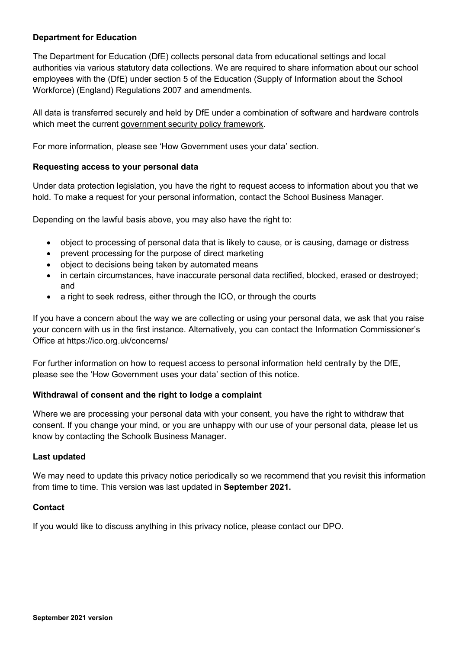## **Department for Education**

The Department for Education (DfE) collects personal data from educational settings and local authorities via various statutory data collections. We are required to share information about our school employees with the (DfE) under section 5 of the Education (Supply of Information about the School Workforce) (England) Regulations 2007 and amendments.

All data is transferred securely and held by DfE under a combination of software and hardware controls which meet the current [government security policy framework.](https://www.gov.uk/government/publications/security-policy-framework)

For more information, please see 'How Government uses your data' section.

#### **Requesting access to your personal data**

Under data protection legislation, you have the right to request access to information about you that we hold. To make a request for your personal information, contact the School Business Manager.

Depending on the lawful basis above, you may also have the right to:

- object to processing of personal data that is likely to cause, or is causing, damage or distress
- prevent processing for the purpose of direct marketing
- object to decisions being taken by automated means
- in certain circumstances, have inaccurate personal data rectified, blocked, erased or destroyed; and
- a right to seek redress, either through the ICO, or through the courts

If you have a concern about the way we are collecting or using your personal data, we ask that you raise your concern with us in the first instance. Alternatively, you can contact the Information Commissioner's Office at<https://ico.org.uk/concerns/>

For further information on how to request access to personal information held centrally by the DfE, please see the 'How Government uses your data' section of this notice.

## **Withdrawal of consent and the right to lodge a complaint**

Where we are processing your personal data with your consent, you have the right to withdraw that consent. If you change your mind, or you are unhappy with our use of your personal data, please let us know by contacting the Schoolk Business Manager.

#### **Last updated**

We may need to update this privacy notice periodically so we recommend that you revisit this information from time to time. This version was last updated in **September 2021.**

## **Contact**

If you would like to discuss anything in this privacy notice, please contact our DPO.